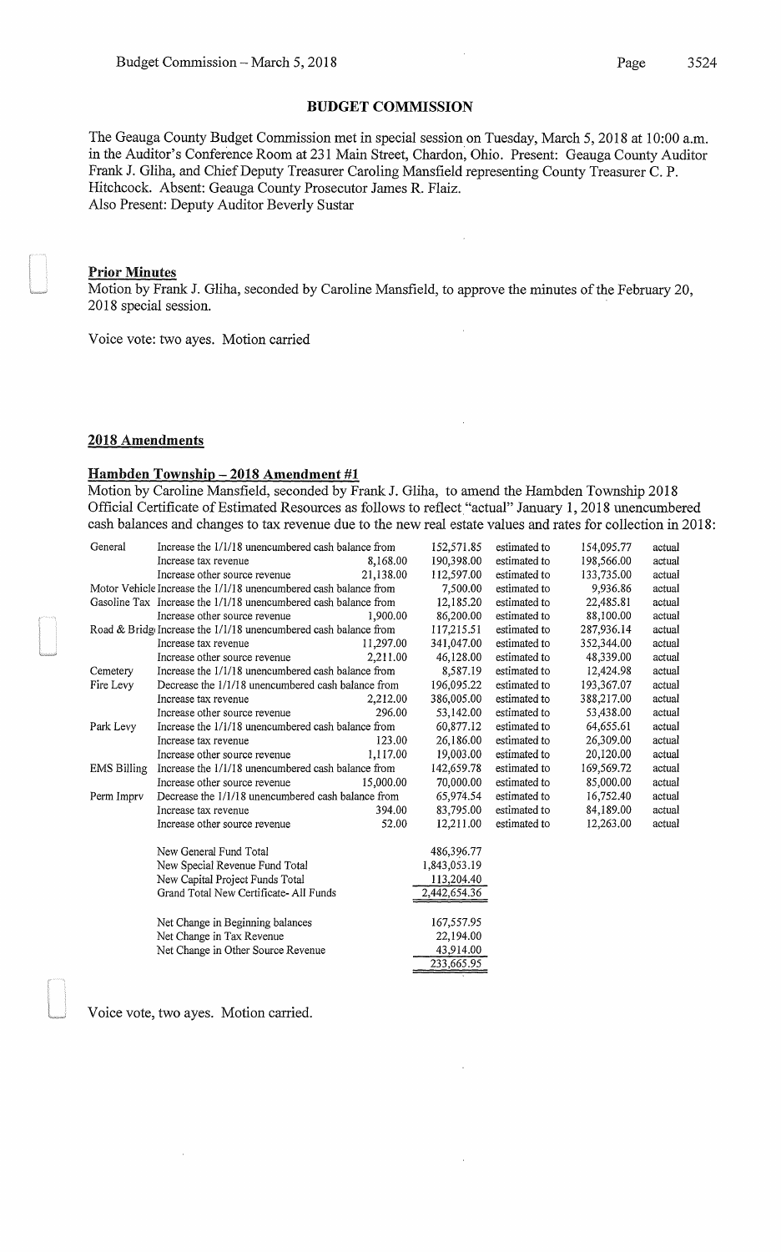The Geauga County Budget Commission met in special session on Tuesday, March 5, 2018 at 10:00 a.m. in the Auditor's Conference Room at 231 Main Street, Chardon, Ohio. Present: Geauga County Auditor Frank J. Gliha, and Chief Deputy Treasurer Caroling Mansfield representing County Treasurer C. P. Hitchcock. Absent: Geauga County Prosecutor James R. Flaiz. Also Present: Deputy Auditor Beverly Sustar

### Prior Minutes

Motion by Frank J. Gliha, seconded by Caroline Mansfield, to approve the minutes of the February 20, 2018 special session.

 $\bar{z}$ 

Voice vote: two ayes. Motion carried

### 2018 Amendments

### Hambden Township- **2018 Amendment #1**

Motion by Caroline Mansfield, seconded by Frank J. Gliha, to amend the Hambden Township 2018 Official Certificate of Estimated Resources as follows to reflect "actual" January 1, 2018 unencumbered cash balances and changes to tax revenue due to the new real estate values and rates for collection in 2018:

| General            | Increase the 1/1/18 unencumbered cash balance from               |           | 152,571.85   | estimated to | 154,095.77 | actual |
|--------------------|------------------------------------------------------------------|-----------|--------------|--------------|------------|--------|
|                    | Increase tax revenue                                             | 8,168.00  | 190,398.00   | estimated to | 198,566.00 | actual |
|                    | Increase other source revenue                                    | 21,138.00 | 112,597.00   | estimated to | 133,735.00 | actual |
|                    | Motor Vehicle Increase the 1/1/18 unencumbered cash balance from |           | 7,500.00     | estimated to | 9.936.86   | actual |
|                    | Gasoline Tax Increase the 1/1/18 unencumbered cash balance from  |           | 12,185.20    | estimated to | 22,485.81  | actual |
|                    | Increase other source revenue                                    | 1,900.00  | 86,200.00    | estimated to | 88,100.00  | actual |
|                    | Road & Bridg Increase the 1/1/18 unencumbered cash balance from  |           |              | estimated to | 287,936.14 | actual |
|                    | Increase tax revenue                                             | 11.297.00 | 341,047.00   | estimated to | 352,344.00 | actual |
|                    | Increase other source revenue                                    | 2.211.00  | 46,128.00    | estimated to | 48,339.00  | actual |
| Cemetery           | Increase the 1/1/18 unencumbered cash balance from               |           | 8,587.19     | estimated to | 12,424.98  | actual |
| Fire Levy          | Decrease the 1/1/18 unencumbered cash balance from               |           | 196,095.22   | estimated to | 193,367.07 | actual |
|                    | Increase tax revenue                                             | 2,212.00  | 386,005.00   | estimated to | 388,217.00 | actual |
|                    | Increase other source revenue                                    | 296.00    | 53,142.00    | estimated to | 53,438.00  | actual |
| Park Levy          | Increase the 1/1/18 unencumbered cash balance from               |           | 60,877.12    | estimated to | 64,655.61  | actual |
|                    | Increase tax revenue                                             | 123.00    | 26,186.00    | estimated to | 26,309.00  | actual |
|                    | Increase other source revenue                                    | 1,117.00  | 19,003.00    | estimated to | 20,120.00  | actual |
| <b>EMS Billing</b> | Increase the 1/1/18 unencumbered cash balance from               |           | 142,659.78   | estimated to | 169,569.72 | actual |
|                    | Increase other source revenue                                    | 15,000.00 | 70,000.00    | estimated to | 85,000.00  | actual |
| Perm Imprv         | Decrease the 1/1/18 unencumbered cash balance from               |           | 65,974.54    | estimated to | 16,752.40  | actual |
|                    | Increase tax revenue                                             | 394.00    | 83,795.00    | estimated to | 84,189.00  | actual |
|                    | Increase other source revenue                                    | 52.00     | 12,211.00    | estimated to | 12,263.00  | actual |
|                    | New General Fund Total                                           |           | 486,396.77   |              |            |        |
|                    | New Special Revenue Fund Total                                   |           | 1,843,053.19 |              |            |        |
|                    | New Capital Project Funds Total                                  |           | 113,204.40   |              |            |        |
|                    | Grand Total New Certificate-All Funds                            |           | 2,442,654.36 |              |            |        |
|                    | Net Change in Beginning balances                                 |           | 167,557.95   |              |            |        |
|                    | Net Change in Tax Revenue                                        |           | 22,194.00    |              |            |        |
|                    | Net Change in Other Source Revenue                               |           | 43,914.00    |              |            |        |
|                    |                                                                  |           | 233,665.95   |              |            |        |
|                    |                                                                  |           |              |              |            |        |

Voice vote, two ayes. Motion carried.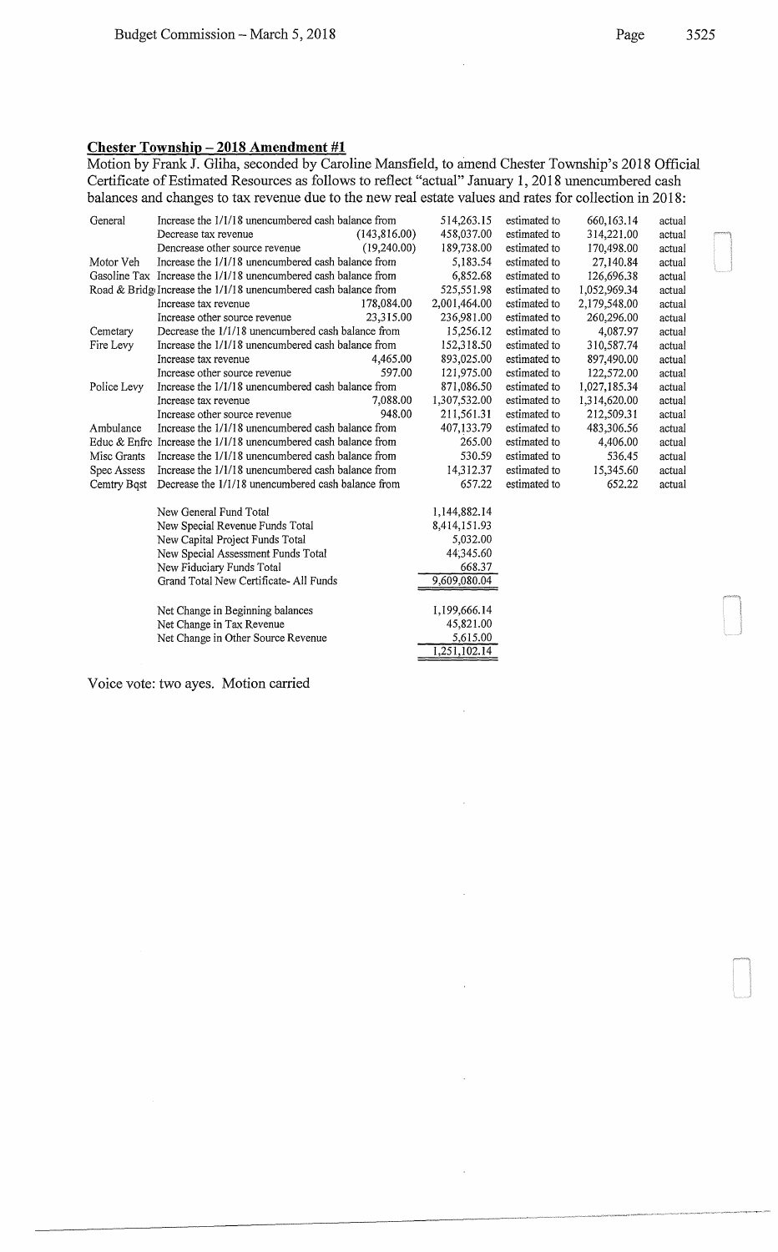## **Chester Township- 2018 Amendment #1**

Motion by Frank J. Gliha, seconded by Caroline Mansfield, to amend Chester Township's 2018 Official Certificate of Estimated Resources as follows to reflect "actual" January 1, 2018 unencumbered cash balances and changes to tax revenue due to the new real estate values and rates for collection in 2018:

à,

| General                                                         | Increase the 1/1/18 unencumbered cash balance from                        |              | 514,263.15   | estimated to | 660, 163. 14 | actual |
|-----------------------------------------------------------------|---------------------------------------------------------------------------|--------------|--------------|--------------|--------------|--------|
|                                                                 | Decrease tax revenue                                                      | (143,816.00) | 458,037.00   | estimated to | 314,221.00   | actual |
|                                                                 | Dencrease other source revenue                                            | (19,240.00)  | 189,738.00   | estimated to | 170,498.00   | actual |
| Motor Veh                                                       | Increase the 1/1/18 unencumbered cash balance from                        |              | 5,183.54     | estimated to | 27,140.84    | actual |
|                                                                 | Gasoline Tax Increase the 1/1/18 unencumbered cash balance from           |              | 6,852.68     | estimated to | 126,696.38   | actual |
|                                                                 | Road & Bridge Increase the 1/1/18 unencumbered cash balance from          |              | 525,551.98   | estimated to | 1,052,969.34 | actual |
|                                                                 | Increase tax revenue                                                      | 178,084.00   | 2,001,464.00 | estimated to | 2,179,548.00 | actual |
|                                                                 | Increase other source revenue                                             | 23,315.00    | 236,981.00   | estimated to | 260,296.00   | actual |
| Cemetary                                                        | Decrease the 1/1/18 unencumbered cash balance from                        |              | 15,256.12    | estimated to | 4,087.97     | actual |
| Fire Levy                                                       | Increase the 1/1/18 unencumbered cash balance from                        |              | 152,318.50   | estimated to | 310,587.74   | actual |
|                                                                 | Increase tax revenue                                                      | 4,465.00     | 893,025.00   | estimated to | 897,490.00   | actual |
|                                                                 | Increase other source revenue                                             | 597.00       | 121,975.00   | estimated to | 122,572.00   | actual |
| Police Levy                                                     | Increase the 1/1/18 unencumbered cash balance from                        |              | 871,086.50   | estimated to | 1,027,185.34 | actual |
|                                                                 | Increase tax revenue                                                      | 7.088.00     | 1,307,532.00 | estimated to | 1,314,620.00 | actual |
|                                                                 | Increase other source revenue                                             | 948.00       | 211,561.31   | estimated to | 212,509.31   | actual |
| Ambulance                                                       | Increase the 1/1/18 unencumbered cash balance from                        |              | 407,133.79   | estimated to | 483,306.56   | actual |
| Educ & Enfre                                                    | Increase the 1/1/18 unencumbered cash balance from                        |              | 265.00       | estimated to | 4,406.00     | actual |
| Misc Grants                                                     | Increase the 1/1/18 unencumbered cash balance from                        |              | 530.59       | estimated to | 536.45       | actual |
| Spec Assess                                                     | Increase the 1/1/18 unencumbered cash balance from                        |              | 14,312.37    | estimated to | 15,345.60    | actual |
| Cemtry Bost                                                     | Decrease the 1/1/18 unencumbered cash balance from                        |              | 657.22       | estimated to | 652.22       | actual |
|                                                                 | New General Fund Total                                                    |              | 1,144,882.14 |              |              |        |
|                                                                 | New Special Revenue Funds Total                                           |              | 8,414,151.93 |              |              |        |
|                                                                 | New Capital Project Funds Total                                           |              | 5,032.00     |              |              |        |
|                                                                 | New Special Assessment Funds Total                                        |              | 44,345.60    |              |              |        |
|                                                                 | New Fiduciary Funds Total                                                 |              | 668.37       |              |              |        |
|                                                                 | Grand Total New Certificate-All Funds<br>Net Change in Beginning balances |              | 9,609,080.04 |              |              |        |
|                                                                 |                                                                           |              | 1,199,666.14 |              |              |        |
| Net Change in Tax Revenue<br>Net Change in Other Source Revenue |                                                                           | 45,821.00    |              |              |              |        |
|                                                                 |                                                                           | 5,615.00     |              |              |              |        |
|                                                                 |                                                                           |              | 1,251,102.14 |              |              |        |

Voice vote: two ayes. Motion carried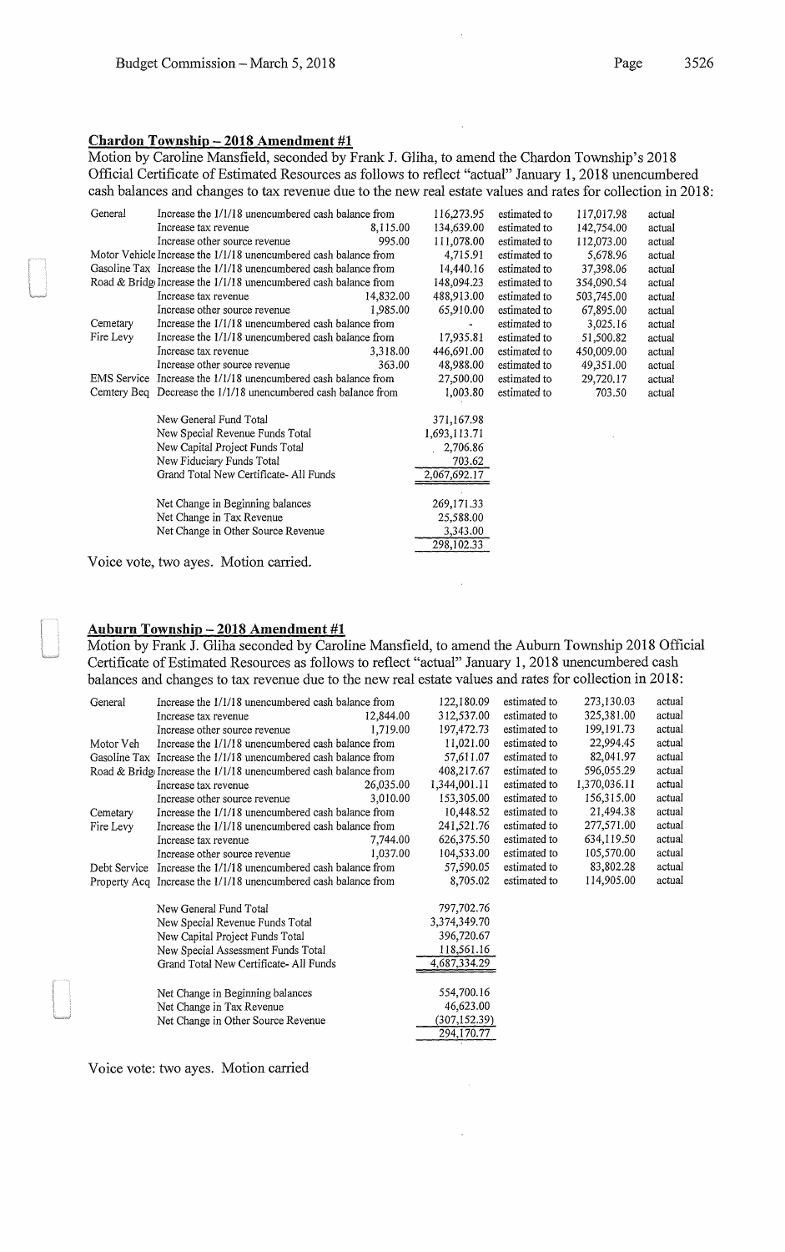Motion by Caroline Mansfield, seconded by Frank J. Gliha, to amend the Chardon Township's 2018 Official Certificate of Estimated Resources as follows to reflect "actual" January 1, 2018 unencumbered cash balances and changes to tax revenue due to the new real estate values and rates for collection in 2018:

| General   | Increase the 1/1/18 unencumbered cash balance from               |           | 116,273.95   | estimated to | 117,017.98 | actual |
|-----------|------------------------------------------------------------------|-----------|--------------|--------------|------------|--------|
|           | Increase tax revenue                                             | 8,115.00  | 134,639.00   | estimated to | 142,754.00 | actual |
|           | Increase other source revenue                                    | 995.00    | 111,078.00   | estimated to | 112,073.00 | actual |
|           | Motor Vehicle Increase the 1/1/18 unencumbered cash balance from |           | 4,715.91     | estimated to | 5,678.96   | actual |
|           | Gasoline Tax Increase the 1/1/18 unencumbered cash balance from  |           | 14,440.16    | estimated to | 37,398.06  | actual |
|           | Road & Bridge Increase the 1/1/18 unencumbered cash balance from |           | 148,094.23   | estimated to | 354,090.54 | actual |
|           | Increase tax revenue                                             | 14,832.00 | 488,913.00   | estimated to | 503,745.00 | actual |
|           | Increase other source revenue                                    | 1,985.00  | 65,910.00    | estimated to | 67,895.00  | actual |
| Cemetary  | Increase the 1/1/18 unencumbered cash balance from               |           |              | estimated to | 3,025.16   | actual |
| Fire Levy | Increase the 1/1/18 unencumbered cash balance from               |           | 17,935.81    | estimated to | 51,500.82  | actual |
|           | Increase tax revenue                                             | 3,318.00  | 446,691.00   | estimated to | 450,009.00 | actual |
|           | Increase other source revenue                                    | 363.00    | 48,988.00    | estimated to | 49,351.00  | actual |
|           | EMS Service Increase the 1/1/18 unencumbered cash balance from   |           | 27,500.00    | estimated to | 29,720.17  | actual |
|           | Cemtery Beq Decrease the 1/1/18 unencumbered cash balance from   |           | 1,003.80     | estimated to | 703.50     | actual |
|           | New General Fund Total                                           |           | 371,167.98   |              |            |        |
|           | New Special Revenue Funds Total                                  |           | 1,693,113.71 |              |            |        |
|           | New Capital Project Funds Total                                  |           | 2,706.86     |              |            |        |
|           | New Fiduciary Funds Total                                        |           | 703.62       |              |            |        |
|           | Grand Total New Certificate-All Funds                            |           | 2,067,692.17 |              |            |        |
|           |                                                                  |           |              |              |            |        |
|           | Net Change in Beginning balances                                 |           | 269,171.33   |              |            |        |
|           | Net Change in Tax Revenue                                        |           | 25,588.00    |              |            |        |
|           | Net Change in Other Source Revenue                               |           | 3,343.00     |              |            |        |
|           |                                                                  |           | 298,102.33   |              |            |        |

Voice vote, two ayes. Motion carried.

### Auburn Township- 2018 **Amendment #1**

Motion by Frank J. Gliha seconded by Caroline Mansfield, to amend the Auburn Township 2018 Official Certificate of Estimated Resources as follows to reflect "actual" January 1, 2018 unencumbered cash balances and changes to tax revenue due to the new real estate values and rates for collection in 2018:

| General      | Increase the 1/1/18 unencumbered cash balance from                 |           | 122,180.09   | estimated to | 273,130.03   | actual |
|--------------|--------------------------------------------------------------------|-----------|--------------|--------------|--------------|--------|
|              | Increase tax revenue                                               | 12,844.00 | 312,537.00   | estimated to | 325,381.00   | actual |
|              | Increase other source revenue                                      | 1.719.00  | 197,472.73   | estimated to | 199, 191. 73 | actual |
| Motor Veh    | Increase the 1/1/18 unencumbered cash balance from                 |           | 11,021.00    | estimated to | 22,994.45    | actual |
|              | Gasoline Tax Increase the 1/1/18 unencumbered cash balance from    |           | 57,611.07    | estimated to | 82,041.97    | actual |
|              | Road & Bridge Increase the $1/1/18$ unencumbered cash balance from |           | 408,217.67   | estimated to | 596,055.29   | actual |
|              | Increase tax revenue                                               | 26,035.00 | 1,344,001.11 | estimated to | 1,370,036.11 | actual |
|              | Increase other source revenue                                      | 3.010.00  | 153,305.00   | estimated to | 156,315.00   | actual |
| Cemetary     | Increase the 1/1/18 unencumbered cash balance from                 |           | 10,448.52    | estimated to | 21,494.38    | actual |
| Fire Levy    | Increase the 1/1/18 unencumbered cash balance from                 |           | 241,521.76   | estimated to | 277,571.00   | actual |
|              | Increase tax revenue                                               | 7,744.00  | 626, 375.50  | estimated to | 634,119.50   | actual |
|              | Increase other source revenue                                      | 1,037.00  | 104,533.00   | estimated to | 105,570.00   | actual |
| Debt Service | Increase the 1/1/18 unencumbered cash balance from                 |           | 57,590.05    | estimated to | 83,802.28    | actual |
|              | Property Acq Increase the 1/1/18 unencumbered cash balance from    |           | 8,705.02     | estimated to | 114,905.00   | actual |
|              | New General Fund Total                                             |           | 797,702.76   |              |              |        |
|              | New Special Revenue Funds Total                                    |           | 3,374,349.70 |              |              |        |
|              | New Capital Project Funds Total                                    |           | 396,720.67   |              |              |        |
|              | New Special Assessment Funds Total                                 |           | 118,561.16   |              |              |        |
|              | Grand Total New Certificate-All Funds                              |           | 4,687,334.29 |              |              |        |
|              | Net Change in Beginning balances                                   |           | 554,700.16   |              |              |        |
|              | Net Change in Tax Revenue                                          |           | 46,623.00    |              |              |        |
|              | Net Change in Other Source Revenue                                 |           | (307,152.39) |              |              |        |
|              |                                                                    |           | 294,170.77   |              |              |        |

Voice vote: two ayes. Motion carried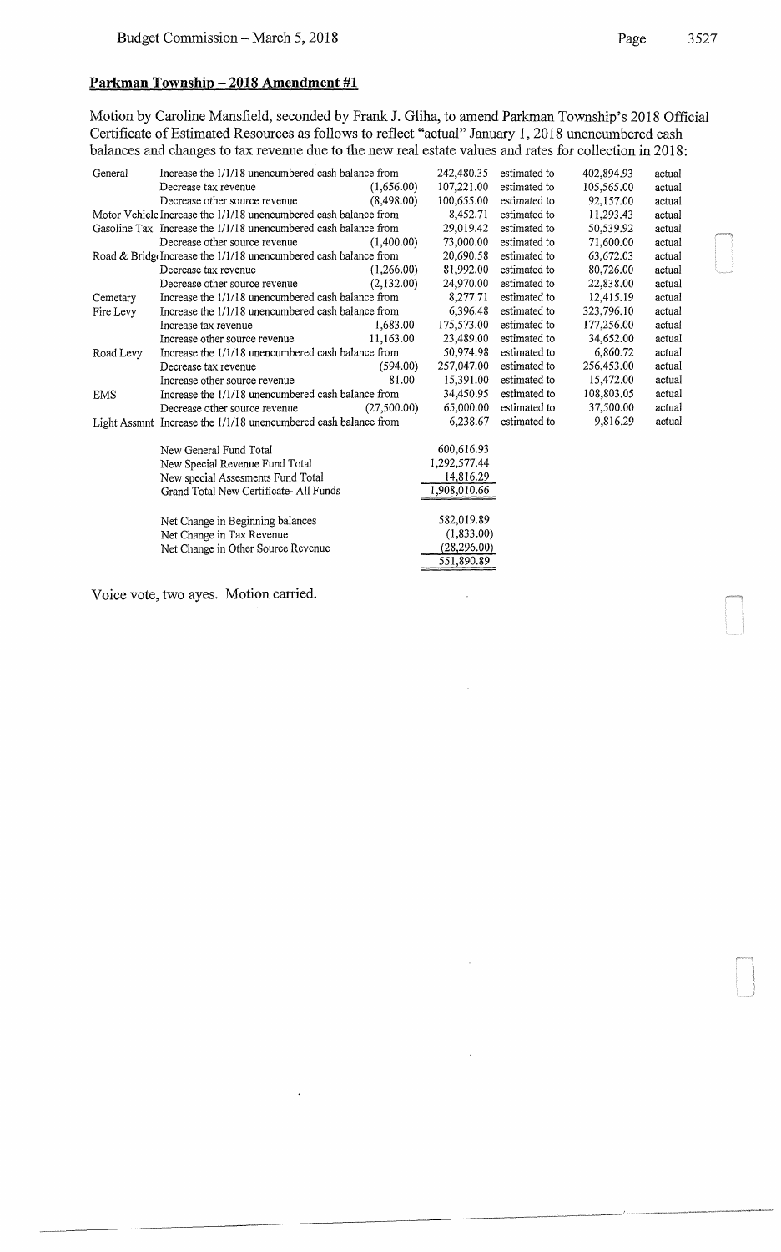Motion by Caroline Mansfield, seconded by Frank J. Gliha, to amend Parkman Township's 2018 Official Certificate of Estimated Resources as follows to reflect "actual" January 1, 2018 unencumbered cash balances and changes to tax revenue due to the new real estate values and rates for collection in 2018:

| General                   | Increase the 1/1/18 unencumbered cash balance from               |             | 242,480.35   | estimated to | 402,894.93 | actual |
|---------------------------|------------------------------------------------------------------|-------------|--------------|--------------|------------|--------|
|                           | Decrease tax revenue                                             | (1,656.00)  | 107,221.00   | estimated to | 105,565.00 | actual |
|                           | Decrease other source revenue                                    | (8.498.00)  | 100,655.00   | estimated to | 92,157.00  | actual |
|                           | Motor Vehicle Increase the 1/1/18 unencumbered cash balance from |             | 8,452.71     | estimated to | 11,293.43  | actual |
|                           | Gasoline Tax Increase the 1/1/18 unencumbered cash balance from  |             | 29,019.42    | estimated to | 50,539.92  | actual |
|                           | Decrease other source revenue                                    | (1,400.00)  | 73,000.00    | estimated to | 71,600.00  | actual |
|                           | Road & Bridge Increase the 1/1/18 unencumbered cash balance from |             | 20,690.58    | estimated to | 63,672.03  | actual |
|                           | Decrease tax revenue                                             | (1,266.00)  | 81,992.00    | estimated to | 80,726.00  | actual |
|                           | Decrease other source revenue                                    | (2,132.00)  | 24,970.00    | estimated to | 22,838,00  | actual |
| Cemetary                  | Increase the 1/1/18 unencumbered cash balance from               |             | 8,277.71     | estimated to | 12,415.19  | actual |
| Fire Levy                 | Increase the 1/1/18 unencumbered cash balance from               |             | 6,396.48     | estimated to | 323,796.10 | actual |
|                           | Increase tax revenue                                             | 1.683.00    | 175,573.00   | estimated to | 177,256.00 | actual |
|                           | Increase other source revenue                                    | 11,163.00   | 23,489.00    | estimated to | 34,652.00  | actual |
| Road Levy                 | Increase the 1/1/18 unencumbered cash balance from               |             | 50,974.98    | estimated to | 6,860.72   | actual |
|                           | Decrease tax revenue                                             | (594.00)    | 257,047.00   | estimated to | 256,453.00 | actual |
|                           | Increase other source revenue                                    | 81.00       | 15,391.00    | estimated to | 15,472.00  | actual |
| <b>EMS</b>                | Increase the 1/1/18 unencumbered cash balance from               |             | 34,450.95    | estimated to | 108,803.05 | actual |
|                           | Decrease other source revenue                                    | (27,500.00) | 65,000.00    | estimated to | 37,500.00  | actual |
|                           | Light Assmnt Increase the 1/1/18 unencumbered cash balance from  |             | 6,238.67     | estimated to | 9,816.29   | actual |
|                           | New General Fund Total                                           |             | 600,616.93   |              |            |        |
|                           | New Special Revenue Fund Total                                   |             | 1,292,577.44 |              |            |        |
|                           | New special Assesments Fund Total                                |             | 14,816.29    |              |            |        |
|                           | Grand Total New Certificate-All Funds                            |             | 1,908,010.66 |              |            |        |
|                           | Net Change in Beginning balances                                 |             | 582,019.89   |              |            |        |
| Net Change in Tax Revenue |                                                                  |             | (1,833.00)   |              |            |        |
|                           | Net Change in Other Source Revenue                               |             | (28, 296.00) |              |            |        |
|                           |                                                                  |             | 551,890.89   |              |            |        |

 $\overline{\phantom{a}}$ 

Voice vote, two ayes. Motion carried.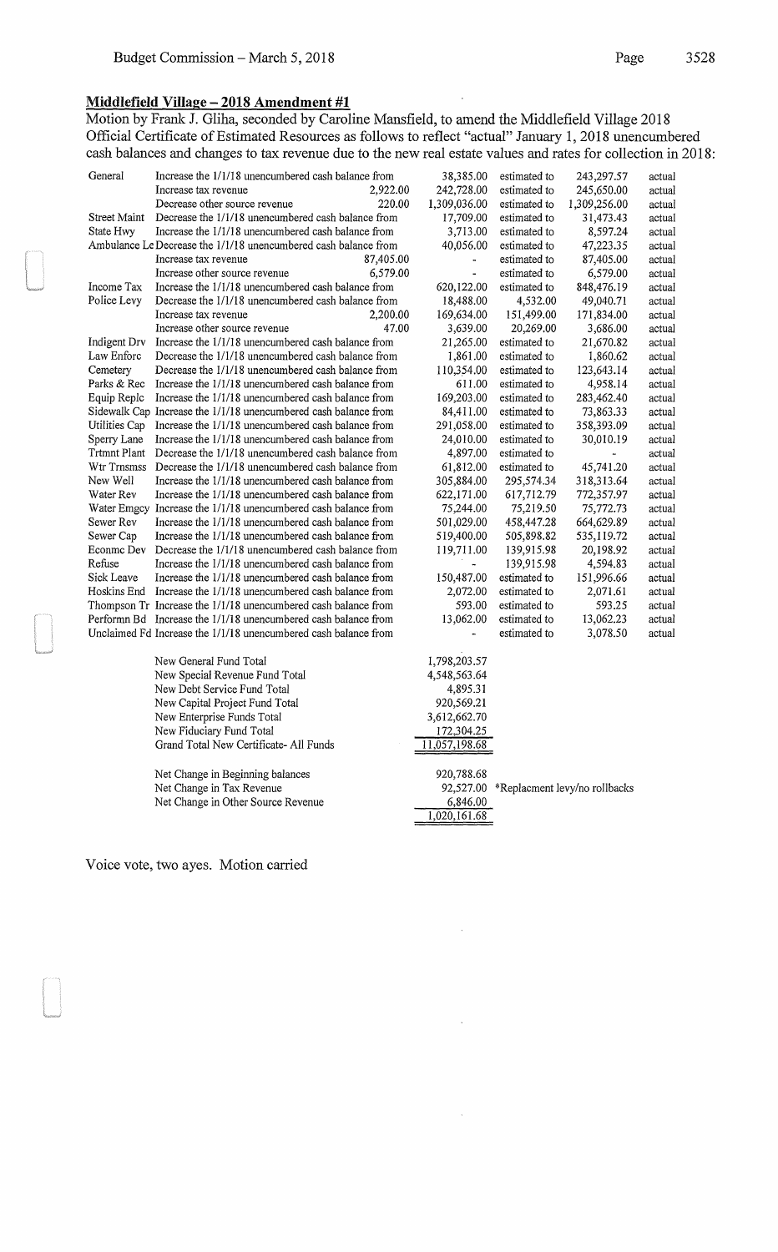### Middlefield Village - 2018 Amendment #1

Motion by Frank J. Gliha, seconded by Caroline Mansfield, to amend the Middlefield Village 2018 Official Certificate of Estimated Resources as follows to reflect "actual" January 1, 2018 unencumbered cash balances and changes to tax revenue due to the new real estate values and rates for collection in 2018:

| General                | Increase the 1/1/18 unencumbered cash balance from                                                                               | 38,385.00                   | estimated to                 | 243,297.57                              | actual |
|------------------------|----------------------------------------------------------------------------------------------------------------------------------|-----------------------------|------------------------------|-----------------------------------------|--------|
|                        | 2,922.00<br>Increase tax revenue                                                                                                 | 242,728.00                  | estimated to                 | 245,650.00                              | actual |
|                        | Decrease other source revenue<br>220.00                                                                                          | 1,309,036.00                | estimated to                 | 1,309,256.00                            | actual |
| Street Maint           | Decrease the 1/1/18 unencumbered cash balance from                                                                               | 17,709.00                   | estimated to                 | 31,473.43                               | actual |
| State Hwy              | Increase the 1/1/18 unencumbered cash balance from                                                                               | 3,713.00                    | estimated to                 | 8,597.24                                | actual |
|                        | Ambulance Le Decrease the 1/1/18 unencumbered cash balance from                                                                  | 40,056.00                   | estimated to                 | 47,223.35                               | actual |
|                        | Increase tax revenue<br>87,405.00                                                                                                |                             | estimated to                 | 87,405.00                               | actual |
|                        | 6,579.00<br>Increase other source revenue                                                                                        | $\blacksquare$              | estimated to                 | 6,579.00                                | actual |
| Income Tax             | Increase the 1/1/18 unencumbered cash balance from                                                                               | 620,122.00                  | estimated to                 | 848,476.19                              | actual |
| Police Levy            | Decrease the 1/1/18 unencumbered cash balance from                                                                               | 18,488.00                   | 4,532.00                     | 49,040.71                               | actual |
|                        | 2,200.00<br>Increase tax revenue                                                                                                 | 169,634.00                  | 151,499.00                   | 171,834.00                              | actual |
|                        | Increase other source revenue<br>47.00                                                                                           | 3,639.00                    | 20,269.00                    | 3,686.00                                | actual |
| Indigent Drv           | Increase the 1/1/18 unencumbered cash balance from                                                                               | 21,265.00                   | estimated to                 | 21,670.82                               | actual |
| Law Enforc             | Decrease the 1/1/18 unencumbered cash balance from                                                                               | 1,861.00                    | estimated to                 | 1,860.62                                | actual |
| Cemetery               | Decrease the 1/1/18 unencumbered cash balance from                                                                               | 110,354.00                  | estimated to                 | 123,643.14                              | actual |
| Parks & Rec            | Increase the 1/1/18 unencumbered cash balance from                                                                               | 611.00                      | estimated to                 | 4,958.14                                | actual |
| Equip Replc            | Increase the 1/1/18 unencumbered cash balance from                                                                               | 169,203.00                  | estimated to                 | 283,462.40                              | actual |
|                        | Sidewalk Cap Increase the 1/1/18 unencumbered cash balance from                                                                  | 84,411.00                   | estimated to                 | 73,863.33                               | actual |
| Utilities Cap          | Increase the 1/1/18 unencumbered cash balance from                                                                               | 291,058.00                  | estimated to                 | 358,393.09                              | actual |
| Sperry Lane            | Increase the 1/1/18 unencumbered cash balance from                                                                               | 24,010.00                   | estimated to                 | 30,010.19                               | actual |
| <b>Trtmnt Plant</b>    | Decrease the 1/1/18 unencumbered cash balance from                                                                               | 4,897.00                    | estimated to                 |                                         | actual |
| Wtr Trnsmss            | Decrease the 1/1/18 unencumbered cash balance from                                                                               | 61,812.00                   | estimated to                 | 45,741.20                               | actual |
| New Well               | Increase the 1/1/18 unencumbered cash balance from                                                                               | 305,884.00                  | 295,574.34                   | 318,313.64                              | actual |
| Water Rev              | Increase the 1/1/18 unencumbered cash balance from                                                                               | 622,171.00                  | 617,712.79                   | 772,357.97                              | actual |
|                        | Water Emgcy Increase the 1/1/18 unencumbered cash balance from                                                                   | 75,244.00                   | 75,219.50                    | 75,772.73                               | actual |
| Sewer Rev<br>Sewer Cap | Increase the 1/1/18 unencumbered cash balance from                                                                               | 501,029.00                  | 458,447.28                   | 664,629.89                              | actual |
|                        | Increase the 1/1/18 unencumbered cash balance from                                                                               | 519,400.00                  | 505,898.82                   | 535,119.72                              | actual |
| Econme Dev<br>Refuse   | Decrease the 1/1/18 unencumbered cash balance from<br>Increase the 1/1/18 unencumbered cash balance from                         | 119,711.00                  | 139,915.98                   | 20,198.92                               | actual |
| Sick Leave             | Increase the 1/1/18 unencumbered cash balance from                                                                               | $\frac{1}{2}$<br>150,487.00 | 139,915.98                   | 4,594.83                                | actual |
|                        |                                                                                                                                  |                             | estimated to                 | 151,996.66                              | actual |
|                        | Hoskins End Increase the 1/1/18 unencumbered cash balance from                                                                   | 2,072.00                    | estimated to                 | 2,071.61<br>593.25                      | actual |
|                        | Thompson Tr Increase the 1/1/18 unencumbered cash balance from<br>Performn Bd Increase the 1/1/18 unencumbered cash balance from | 593.00<br>13,062.00         | estimated to<br>estimated to | 13,062.23                               | actual |
|                        |                                                                                                                                  |                             |                              |                                         | actual |
|                        | Unclaimed Fd Increase the 1/1/18 unencumbered cash balance from                                                                  |                             | estimated to                 | 3,078.50                                | actual |
|                        | New General Fund Total                                                                                                           | 1,798,203.57                |                              |                                         |        |
|                        | New Special Revenue Fund Total                                                                                                   | 4,548,563.64                |                              |                                         |        |
|                        | New Debt Service Fund Total                                                                                                      | 4,895.31                    |                              |                                         |        |
|                        | New Capital Project Fund Total                                                                                                   | 920,569.21                  |                              |                                         |        |
|                        | New Enterprise Funds Total                                                                                                       | 3,612,662.70                |                              |                                         |        |
|                        | New Fiduciary Fund Total                                                                                                         | 172,304.25                  |                              |                                         |        |
|                        | Grand Total New Certificate- All Funds                                                                                           | 11,057,198.68               |                              |                                         |        |
|                        |                                                                                                                                  |                             |                              |                                         |        |
|                        | Net Change in Beginning balances                                                                                                 | 920,788.68                  |                              |                                         |        |
|                        | Net Change in Tax Revenue                                                                                                        |                             |                              | 92,527.00 *Replacment levy/no rollbacks |        |
|                        | Net Change in Other Source Revenue                                                                                               | 6,846.00                    |                              |                                         |        |
|                        |                                                                                                                                  | 1,020,161.68                |                              |                                         |        |

 $\ddot{\phantom{a}}$ 

 $\bar{z}$ 

Voice vote, two ayes. Motion carried